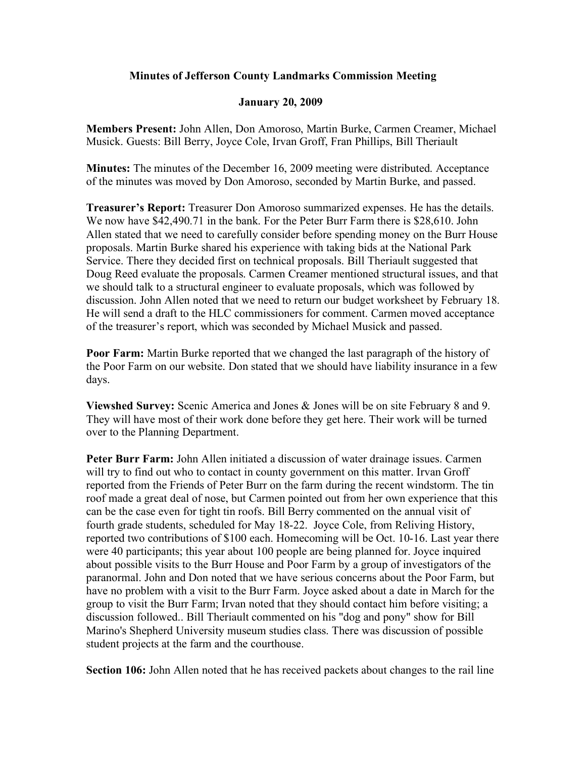## **Minutes of Jefferson County Landmarks Commission Meeting**

## **January 20, 2009**

**Members Present:** John Allen, Don Amoroso, Martin Burke, Carmen Creamer, Michael Musick. Guests: Bill Berry, Joyce Cole, Irvan Groff, Fran Phillips, Bill Theriault

**Minutes:** The minutes of the December 16, 2009 meeting were distributed. Acceptance of the minutes was moved by Don Amoroso, seconded by Martin Burke, and passed.

**Treasurer's Report:** Treasurer Don Amoroso summarized expenses. He has the details. We now have \$42,490.71 in the bank. For the Peter Burr Farm there is \$28,610. John Allen stated that we need to carefully consider before spending money on the Burr House proposals. Martin Burke shared his experience with taking bids at the National Park Service. There they decided first on technical proposals. Bill Theriault suggested that Doug Reed evaluate the proposals. Carmen Creamer mentioned structural issues, and that we should talk to a structural engineer to evaluate proposals, which was followed by discussion. John Allen noted that we need to return our budget worksheet by February 18. He will send a draft to the HLC commissioners for comment. Carmen moved acceptance of the treasurer's report, which was seconded by Michael Musick and passed.

**Poor Farm:** Martin Burke reported that we changed the last paragraph of the history of the Poor Farm on our website. Don stated that we should have liability insurance in a few days.

**Viewshed Survey:** Scenic America and Jones & Jones will be on site February 8 and 9. They will have most of their work done before they get here. Their work will be turned over to the Planning Department.

**Peter Burr Farm:** John Allen initiated a discussion of water drainage issues. Carmen will try to find out who to contact in county government on this matter. Irvan Groff reported from the Friends of Peter Burr on the farm during the recent windstorm. The tin roof made a great deal of nose, but Carmen pointed out from her own experience that this can be the case even for tight tin roofs. Bill Berry commented on the annual visit of fourth grade students, scheduled for May 18-22. Joyce Cole, from Reliving History, reported two contributions of \$100 each. Homecoming will be Oct. 10-16. Last year there were 40 participants; this year about 100 people are being planned for. Joyce inquired about possible visits to the Burr House and Poor Farm by a group of investigators of the paranormal. John and Don noted that we have serious concerns about the Poor Farm, but have no problem with a visit to the Burr Farm. Joyce asked about a date in March for the group to visit the Burr Farm; Irvan noted that they should contact him before visiting; a discussion followed.. Bill Theriault commented on his "dog and pony" show for Bill Marino's Shepherd University museum studies class. There was discussion of possible student projects at the farm and the courthouse.

**Section 106:** John Allen noted that he has received packets about changes to the rail line